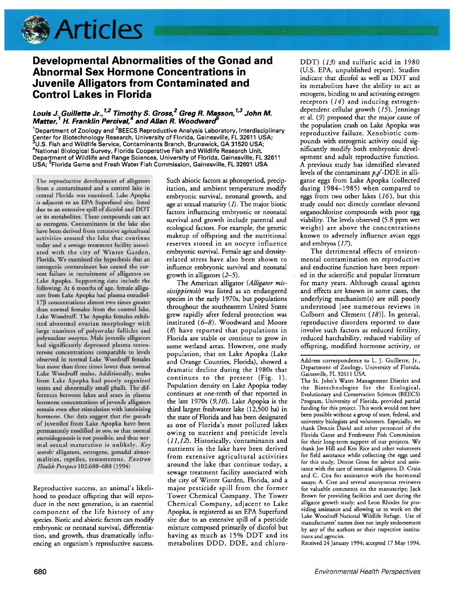**Articles** 

# Developmental Abnormalities of the Gonad and Abnormal Sex Hormone Concentrations in Juvenile Alligators from Contaminated and Control Lakes in Florida

# Louis J. Guillette Jr.,'<sup>.∠</sup> Timoṭhy S. Gross,<sup>2</sup> Greg R. Mas̯son,'<sup>.,s</sup> John M. Matter,' H. Franklin Percival,\* and Allan R. Woodward $^\rho$

<sup>1</sup>Department of Zoology and <sup>2</sup>BEECS Reproductive Analysis Laboratory, Interdisciplinary Center for Biotechnology Research, University of Florida, Gainesville, FL 32611 USA; 3U.S. Fish and Wildlife Service, Contaminants Branch, Brunswick, GA 31520 USA; <sup>4</sup>National Biological Survey, Florida Cooperative Fish and Wildlife Research Unit, Department of Wildlife and Range Sciences, University of Florida, Gainesville, FL 32611 USA; <sup>5</sup>Florida Game and Fresh Water Fish Commission, Gainesville, FL 32601 USA

The reproductive development of alligators from a contaminated and a control lake in central Florida was examined. Lake Apopka is adjacent to an EPA Superfund site, listed due to an extensive spill of dicofol and DDT or its metabolites. These compounds can act as estrogens. Contaminants in the lake also have been derived from extensive agricultural activities around the lake that continue today and a sewage treatment facility associated with the city of Winter Garden, Florida. We examined the hypothesis that an estrogenic contaminant has caused the current failure in recruitment of alligators on Lake Apopka. Supporting data include the following: At 6 months of age, female alligators from Lake Apopka had plasma estradiol- $17\beta$  concentrations almost two times greater than normal females from the control lake, Lake Woodruff. The Apopka females exhibited abnormal ovarian morphology with large numbers of polyovular follicles and polynuclear oocytes. Male juvenile alligators had significantly depressed plasma testosterone concentrations comparable to levels observed in normal Lake Woodruff females but more than three times lower than normal Lake Woodruff males. Additionally, males from Lake Apopka had poorly organized testes and abnormally small phalli. The differences between lakes and sexes in plasma hormone concentrations of juvenile alligators remain even after stimulation with luteinizing hormone. Our data suggest that the gonads of juveniles from Lake Apopka have been permanently modified in ovo, so that normal steroidogenesis is not possible, and thus normal sexual maturation is unlikely. Key words: alligators, estrogens, gonadal abnormalities, reptiles, testosterone. Environ Health Perspect 102:680-688 (1994)

Reproductive success, an animal's likelihood to produce offspring that will reproduce in the next generation, is an essential component of the life history of any species. Biotic and abiotic factors can modify embryonic or neonatal survival, differentiation, and growth, thus dramatically influencing an organism's reproductive success.

Such abiotic factors as photoperiod, precipitation, and ambient temperature modify embryonic survival, neonatal growth, and age at sexual maturity  $(1)$ . The major biotic factors influencing embryonic or neonatal survival and growth include parental and ecological factors. For example, the genetic makeup of offspring and the nutritional reserves stored in an oocyte influence embryonic survival. Female age and densityrelated stress have also been shown to influence embryonic survival and neonatal growth in alligators (2-5).

The American alligator (Alligator mississippiensis) was listed as an endangered species in the early 1970s, but populations throughout the southeastern United States grew rapidly after federal protection was instituted  $(6-8)$ . Woodward and Moore (8) have reported that populations in Florida are stable or continue to grow in some wetland areas. However, one study population, that on Lake Apopka (Lake and Orange Counties, Florida), showed a dramatic decline during the 1980s that continues to the present (Fig. 1). Population density on Lake Apopka today continues at one-tenth of that reported in the late 1970s (9,10). Lake Apopka is the third largest freshwater lake (12,500 ha) in the state of Florida and has been designated as one of Florida's most polluted lakes owing to nutrient and pesticide levels  $(11,12)$ . Historically, contaminants and nutrients in the lake have been derived from extensive agricultural activities around the lake that continue today, a sewage treatment facility associated with the city of Winter Garden, Florida, and a major pesticide spill from the former Tower Chemical Company. The Tower Chemical Company, adjacent to Lake Apopka, is registered as an EPA Superfund site due to an extensive spill of a pesticide mixture composed primarily of dicofol but having as much as 15% DDT and its metabolites DDD, DDE, and chloro-

DDT) (13) and sulfuric acid in 1980 (U.S. EPA, unpublished report). Studies indicate that dicofol as well as DDT and its metabolites have the ability to act as estrogens, binding to and activating estrogen receptors (14) and inducing estrogendependent cellular growth (15). Jennings et al. (9) proposed that the major cause of the population crash on Lake Apopka was reproductive failure. Xenobiotic compounds with estrogenic activity could significantly modify both embryonic development and adult reproductive function. A previous study has identified elevated levels of the contaminant  $p, p'$ -DDE in alligator eggs from Lake Apopka (collected during 1984-1985) when compared to eggs from two other lakes (16), but this study could not directly correlate elevated organochlorine compounds with poor egg viability. The levels observed (5.8 ppm wet weight) are above the concentrations known to adversely influence avian eggs and embryos (17).

The detrimental effects of environmental contamination on reproductive and endocrine function have been reported in the scientific and popular literature for many years. Although causal agents and effects are known in some cases, the underlying mechanism $(s)$  are still poorly understood [see numerous reviews in Colborn and Clement (18)]. In general, reproductive disorders reported to date involve such factors as reduced fertility, reduced hatchability, reduced viability of offspring, modified hormone activity, or

Address correspondence to L. J. Guillette, Jr., Department of Zoology, University of Florida, Gainesville, FL 32611 USA.

The St. John's Water Management District and the Biotechnologies for the Ecological, Evolutionary and Conservation Sciences (BEECS) Program, University of Florida, provided partial funding for this project. This work would not have been possible without a group of state, federal, and university biologists and volunteers. Especially, we thank Dennis David and other personnel of the Florida Game and Freshwater Fish Commission for their long-term support of our projects. We thank Joe Hill and Ken Rice and other volunteers for field assistance while collecting the eggs used for this study; Denise Gross for advice and assistance with the care of neonatal alligators; D. Crain and C. Cox for assistance with the hormonal assays; A. Cree and several anonymous reviewers for valuable comments on the manuscript; Jack Brown for providing facilities and care during the alligator growth study; and Leon Rhodes for providing assistance and allowing us to work on the Lake Woodruff National Wildlife Refuge. Use of manufacturers' names does not imply endorsement by any of the authors or their respective institutions and agencies.

Received 24 January 1994; accepted 17 May 1994.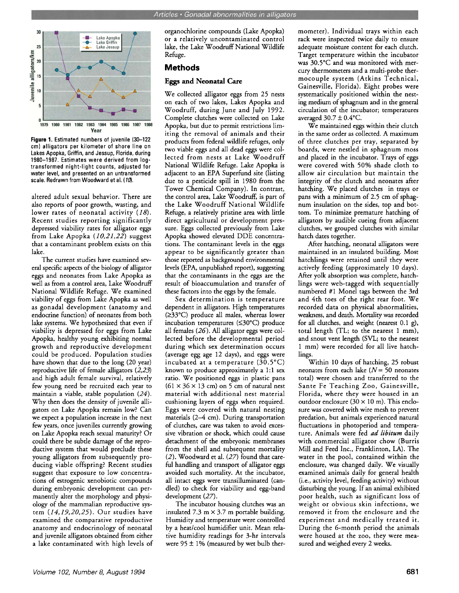

Figure 1. Estimated numbers of juvenile (30-122 cm) alligators per kilometer of shore line on Lakes Apopka, Griffin, and Jessup, Florida, during 1980-1987. Estimates were derived from logtransformed night-light counts, adjusted for water level, and presented on an untransformed scale. Redrawn from Woodward et al. (10).

altered adult sexual behavior. There are also reports of poor growth, wasting, and lower rates of neonatal activity (18). Recent studies reporting significantly depressed viability rates for alligator eggs from Lake Apopka (10,21,22) suggest that a contaminant problem exists on this lake.

The current studies have examined several specific aspects of the biology of alligator eggs and neonates from Lake Apopka as well as from a control area, Lake Woodruff National Wildlife Refuge. We examined viability of eggs from Lake Apopka as well as gonadal development (anatomy and endocrine function) of neonates from both lake systems. We hypothesized that even if viability is depressed for eggs from Lake Apopka, healthy young exhibiting normal growth and reproductive development could be produced. Population studies have shown that due to the long (20 year) reproductive life of female alligators (2,23) and high adult female survival, relatively few young need be recruited each year to maintain a viable, stable population (24). Why then does the density of juvenile alligators on Lake Apopka remain low? Can we expect a population increase in the next few years, once juveniles currently growing on Lake Apopka reach sexual maturity? Or could there be subtle damage of the reproductive system that would preclude these young alligators from subsequently producing viable offspring? Recent studies suggest that exposure to low concentrations of estrogenic xenobiotic compounds during embryonic development can permanently alter the morphology and physiology of the mammalian reproductive system (14,19,20,25). Our studies have examined the comparative reproductive anatomy and endocrinology of neonatal and juvenile alligators obtained from either a lake contaminated with high levels of organochlorine compounds (Lake Apopka) or a relatively uncontaminated control lake, the Lake Woodruff National Wildlife Refuge.

## Methods

## Eggs and Neonatal Care

We collected alligator eggs from <sup>25</sup> nests on each of two lakes, Lakes Apopka and Woodruff, during June and July 1992. Complete clutches were collected on Lake Apopka, but due to permit restrictions limiting the removal of animals and their products from federal wildlife refuges, only two viable eggs and all dead eggs were collected from nests at Lake Woodruff National Wildlife Refuge. Lake Apopka is adjacent to an EPA Superfund site (listing due to a pesticide spill in 1980 from the Tower Chemical Company). In contrast, the control area, Lake Woodruff, is part of the Lake Woodruff National Wildlife Refuge, a relatively pristine area with little direct agricultural or development pressure. Eggs collected previously from Lake Apopka showed elevated DDE concentrations. The contaminant levels in the eggs appear to be significantly greater than those reported as background environmental levels (EPA, unpublished report), suggesting that the contaminants in the eggs are the result of bioaccumulation and transfer of these factors into the eggs by the female.

Sex determination is temperature dependent in alligators. High temperatures  $(233^{\circ}C)$  produce all males, whereas lower incubation temperatures (<30'C) produce all females (26). All alligator eggs were collected before the developmental period during which sex determination occurs (average egg age 12 days), and eggs were incubated at a temperature (30.5°C) known to produce approximately a 1:1 sex ratio. We positioned eggs in plastic pans  $(61 \times 36 \times 13$  cm) on 5 cm of natural nest material with additional nest material cushioning layers of eggs when required. Eggs were covered with natural nesting materials (2-4 cm). During transportation of clutches, care was taken to avoid excessive vibration or shock, which could cause detachment of the embryonic membranes from the shell and subsequent mortality (2). Woodward et al. (27) found that careful handling and transport of alligator eggs avoided such mortality. At the incubator, all intact eggs were transilluminated (candled) to check for viability and egg-band development (27).

The incubator housing clutches was an insulated 7.3 m  $\times$  3.7 m portable building. Humidity and temperature were controlled by <sup>a</sup> heat/cool humidifier unit. Mean relative humidity readings for 3-hr intervals were  $95 \pm 1\%$  (measured by wet bulb thermometer). Individual trays within each rack were inspected twice daily to ensure adequate moisture content for each clutch. Target temperature within the incubator was 30.5°C and was monitored with mercury thermometers and a multi-probe thermocouple system (Atkins Technical, Gainesville, Florida). Eight probes were systematically positioned within the nesting medium of sphagnum and in the general circulation of the incubator; temperatures averaged  $30.7 \pm 0.4$  °C.

We maintained eggs within their clutch in the same order as collected. A maximum of three clutches per tray, separated by boards, were nestled in sphagnum moss and placed in the incubator. Trays of eggs were covered with 50% shade cloth to allow air circulation but maintain the integrity of the clutch and neonates after hatching. We placed clutches in trays or pans with <sup>a</sup> minimum of 2.5 cm of sphagnum insulation on the sides, top and bottom. To minimize premature hatching of alligators by audible cueing from adjacent clutches, we grouped clutches with similar hatch dates together.

After hatching, neonatal alligators were maintained in an insulated building. Most hatchlings were retained until they were actively feeding (approximately 10 days). After yolk absorption was complete, hatchlings were web-tagged with sequentially numbered #1 Monel tags between the 3rd and 4th toes of the right rear foot. We recorded data on physical abnormalities, weakness, and death. Mortality was recorded for all clutches, and weight (nearest 0.1 g), total length (TL; to the nearest <sup>1</sup> mm), and snout vent length (SVL; to the nearest <sup>1</sup> mm) were recorded for all live hatchlings.

Within 10 days of hatching, 25 robust neonates from each lake  $(N= 50$  neonates total) were chosen and transferred to the Sante Fe Teaching Zoo, Gainesville, Florida, where they were housed in an outdoor enclosure  $(30 \times 10 \text{ m})$ . This enclosure was covered with wire mesh to prevent predation, but animals experienced natural fluctuations in photoperiod and temperature. Animals were fed *ad libitum* daily with commercial alligator chow (Burris Mill and Feed Inc., Franklinton, LA). The water in the pool, contained within the enclosure, was changed daily. We visually examined animals daily for general health (i.e., activity level, feeding activity) without disturbing the young. If an animal exhibited poor health, such as significant loss of weight or obvious skin infections, we removed it from the enclosure and the experiment and medically treated it. During the 6-month period the animals were housed at the zoo, they were measured and weighed every 2 weeks.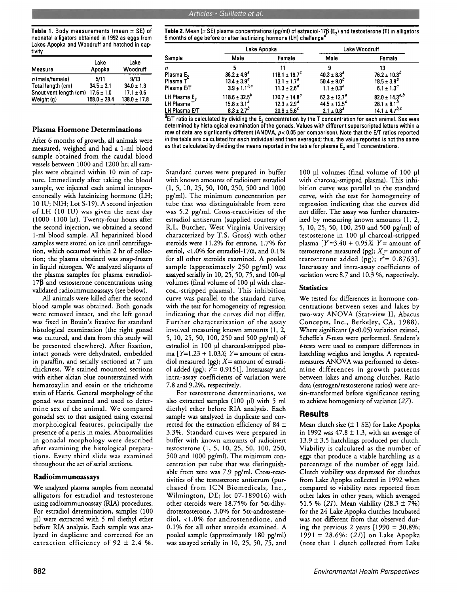Table 1. Body measurements (mean  $\pm$  SE) of neonatal alligators obtained in 1992 as eggs from Lakes Apopka and Woodruff and hatched in captivity

| Measure                | Lake<br>Apopka   | Lake<br>Woodruff |
|------------------------|------------------|------------------|
| n (male/female)        | 5/11             | 9/13             |
| Total length (cm)      | $34.5 \pm 2.1$   | $34.0 \pm 1.3$   |
| Snout vent length (cm) | $17.6 \pm 1.0$   | $17.1 \pm 0.6$   |
| Weight (g)             | $158.0 \pm 28.4$ | $138.0 \pm 17.8$ |

# Plasma Hormone Determinations

After 6 months of growth, all animals were measured, weighed and had a 1-ml blood sample obtained from the caudal blood vessels between 1000 and 1200 hr; all samples were obtained within 10 min of capture. Immediately after taking the blood sample, we injected each animal intraperentoneally with luteinizing hormone (LH; <sup>10</sup> IU; NIH; Lot S-19). A second injection of LH (10 IU) was given the next day (1000-1 100 hr). Twenty-four hours after the second injection, we obtained a second 1-ml blood sample. All heparinized blood samples were stored on ice until centrifugation, which occurred within 2 hr of collection; the plasma obtained was snap-frozen in liquid nitrogen. We analyzed aliquots of the plasma samples for plasma estradiol- $17\beta$  and testosterone concentrations using validated radioimmunoassays (see below).

All animals were killed after the second blood sample was obtained. Both gonads were removed intact, and the left gonad was fixed in Bouin's fixative for standard histological examination (the right gonad was cultured, and data from this study will be presented elsewhere). After fixation, intact gonads were dehydrated, embedded in paraffin, and serially sectioned at  $7 \mu m$ thickness. We stained mounted sections with either alcian blue counterstained with hematoxylin and eosin or the trichrome stain of Harris. General morphology of the gonad was examined and used to determine sex of the animal. We compared gonadal sex to that assigned using external morphological features, principally the presence of a penis in males. Abnormalities in gonadal morphology were described after examining the histological preparations. Every third slide was examined throughout the set of serial sections.

# Radioimmunoassays

We analyzed plasma samples from neonatal alligators for estradiol and testosterone using radioimmunoassay (RIA) procedures. For estradiol determination, samples (100 pl) were extracted with 5 ml diethyl ether before RIA analysis. Each sample was analyzed in duplicate and corrected for an extraction efficiency of 92 ± 2.4 %.

Table 2. Mean (± SE) plasma concentrations (pg/ml) of estradiol-17 $\beta$  (E<sub>2</sub>) and testosterone (T) in alligators <sup>6</sup> months of age before or after leutinizing hormone (LH) challenge'

| Sample                   | Lake Apopka            |                        | Lake Woodruff           |                                                  |
|--------------------------|------------------------|------------------------|-------------------------|--------------------------------------------------|
|                          | Maie                   | Female                 | Male                    | Female                                           |
| n                        |                        |                        |                         | 13                                               |
| Plasma E <sub>2</sub>    | $36.2 \pm 4.9^8$       | $118.1 \pm 19.7^c$     | $40.3 \pm 8.8^{a}$      | $76.2 \pm 10.3^{b}$                              |
| Plasma T                 | $13.4 \pm 3.9^{\circ}$ | $13.1 \pm 1.7^{8}$     | $50.4 \pm 9.0^{b}$      | $18.5 \pm 3.9^{4}$                               |
| Plasma E/T               | $3.9 \pm 1.1^{b,c}$    | $11.3 \pm 2.6^{\circ}$ | $1.1 \pm 0.3^{\circ}$   | $6.1 \pm 1.3^{c}$                                |
| LH Plasma E <sub>2</sub> | $118.6 \pm 32.5^{b}$   | $170.7 \pm 14.8^c$     | $62.3 \pm 12.7^{\circ}$ | $82.0 \pm 14.3^{a,b}$<br>28.1 ± 8.1 <sup>b</sup> |
| LH Plasma T              | $15.8 \pm 3.1^{\circ}$ | $12.3 \pm 2.9^{\circ}$ | $44.5 \pm 12.5^c$       |                                                  |
| LH Plasma E∕T            | $8.3 \pm 2.7^{p}$      | $20.9 \pm 5.6^c$       | $2.1 \pm 0.8^{4}$       | $14.1 \pm 4.7^{b,c}$                             |

 ${}^2E/T$  ratio is calculated by dividing the E<sub>2</sub> concentration by the T concentration for each animal. Sex was determined by histological examination of the gonads. Values with different superscripted letters within a row of data are signficantly different (ANOVA,  $p < 0.05$  per comparison). Note that the E/T ratios reported in the table are calculated for each individual and then averaged; thus, the value reported is not the same as that calculated by dividing the means reported in the table for plasma  $E<sub>2</sub>$  and T concentrations.

Standard curves were prepared in buffer with known amounts of radioinert estradiol (1, 5, 10, 25, 50, 100, 250, 500 and 1000 pg/ml). The minimum concentration per tube that was distinguishable from zero was 5.2 pg/mi. Cross-reactivities of the estradiol antiserum (supplied courtesy of R.L. Butcher, West Virginia University; characterized by T.S. Gross) with other steroids were 11.2% for estrone, 1.7% for estriol, <1.0% for estradiol-17 $\alpha$ , and 0.1% for all other steroids examined. A pooled sample (approximately 250 pg/ml) was assayed serially in 10, 25, 50, 75, and 100-pI volumes (final volume of 100 µl with charcoal-stripped plasma). This inhibition curve was parallel to the standard curve, with the test for homogeneity of regression indicating that the curves did not differ. Further characterization of the assay involved measuring known amounts (1, 2, 5, 10, 25, 50, 100, 250 and 500 pg/ml) of estradiol in 100 µl charcoal-stripped plasma  $[Y=1.23 + 1.03X; Y=$  amount of estradiol measured (pg);  $X=$  amount of estradiol added (pg);  $r' = 0.9151$ ]. Interassay and intra-assay coefficients of variation were 7.8 and 9.2%, respectively.

For testosterone determinations, we also extracted samples  $(100 \text{ µl})$  with 5 ml diethyl ether before RIA analysis. Each sample was analyzed in duplicate and corrected for the extraction efficiency of  $84 \pm$ 3.3%. Standard curves were prepared in buffer with known amounts of radioinert testosterone (1, 5, 10, 25, 50, 100, 250, 500 and 1000 pg/ml). The minimum concentration per tube that was distinguishable from zero was 7.9 pg/ml. Cross-reactivities of the testosterone antiserum (purchased from ICN Biomedicals, Inc., Wilmington, DE; lot 07-189016) with other steroids were 18.75% for  $5\alpha$ -dihydrotestosterone,  $3.0\%$  for  $5\alpha$ -androstenediol, <1.0% for androstenedione, and 0.1% for all other steroids examined. A pooled sample (approximately 180 pg/ml) was assayed serially in 10, 25, 50, 75, and

100 pl volumes (final volume of 100 pl with charcoal-stripped plasma). This inhibition curve was parallel to the standard curve, with the test for homogeneity of regression indicating that the curves did not differ. The assay was further characterized by measuring known amounts (1, 2, 5, 10, 25, 50, 100, 250 and 500 pg/ml) of testosterone in 100 pi charcoal-stripped plasma  $[Y=3.40 + 0.95X; Y=$  amount of testosterone measured (pg);  $X =$  amount of testosterone added (pg);  $r^2$  = 0.8763]. Interassay and intra-assay coefficients of variation were 8.7 and 10.3 %, respectively.

# **Statistics**

We tested for differences in hormone concentrations between sexes and lakes by two-way ANOVA (Stat-view II, Abacus Concepts, Inc., Berkeley, CA, 1988). Where significant  $(p<0.05)$  variation existed, Scheffe's F-tests were performed. Student's t-tests were used to compare differences in hatchling weights and lengths. A repeatedmeasures ANOVA was performed to determine differences in growth patterns between lakes and among clutches. Ratio data (estrogen/testosterone ratios) were arcsin-transformed before significance testing to achieve homogeniety of variance (27).

# Results

Mean clutch size  $(\pm 1 \text{ SE})$  for Lake Apopka in 1992 was  $47.8 \pm 1.3$ , with an average of  $13.9 \pm 3.5$  hatchlings produced per clutch. Viability is calculated as the number of eggs that produce a viable hatchling as a percentage of the number of eggs laid. Clutch viability was depressed for clutches from Lake Apopka collected in 1992 when compared to viability rates reported from other lakes in other years, which averaged 51.5 % (21). Mean viability (28.3 <sup>±</sup> 7%) for the 24 Lake Apopka clutches incubated was not different from that observed during the previous 2 years  $[1990 = 30.8\%;$ 1991 = 28.6%:  $(21)$ ] on Lake Apopka (note that <sup>1</sup> clutch collected from Lake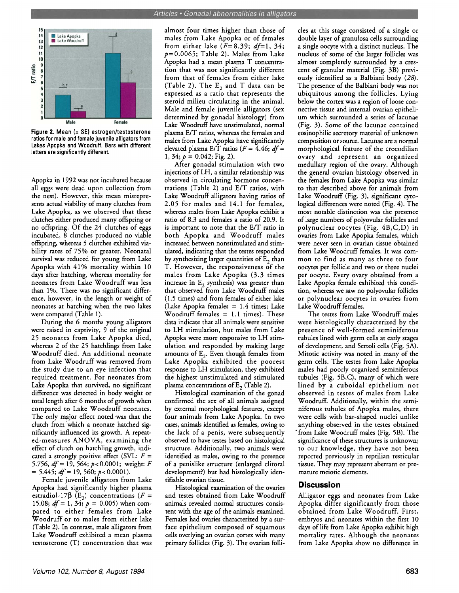

Figure 2. Mean  $(\pm$  SE) estrogen/testosterone ratios for male and female juvenile alligators from Lakes Apopka and Woodruff. Bars with different letters are significantly different.

Apopka in 1992 was not incubated because all eggs were dead upon collection from the nest). However, this mean misrepresents actual viability of many clutches from Lake Apopka, as we observed that these clutches either produced many offspring or no offspring. Of the 24 clutches of eggs incubated, 8 clutches produced no viable offspring, whereas 5 clutches exhibited viability rates of 75% or greater. Neonatal survival was reduced for young from Lake Apopka with 41% mortality within 10 days after hatching, whereas mortality for neonates from Lake Woodruff was less than 1%. There was no significant difference, however, in the length or weight of neonates at hatching when the two lakes were compared (Table 1).

During the 6 months young alligators were raised in captivity, 9 of the original 25 neonates from Lake Apopka died, whereas 2 of the 25 hatchlings from Lake Woodruff died. An additional neonate from Lake Woodruff was removed from the study due to an eye infection that required treatment. For neonates from Lake Apopka that survived, no significant difference was detected in body weight or total length after 6 months of growth when compared to Lake Woodruff neonates. The only major effect noted was that the clutch from which a neonate hatched significantly influenced its growth. A repeated-measures ANOVA, examining the effect of clutch on hatchling growth, indicated a strongly positive effect (SVL:  $F =$ 5.756,  $df = 19$ , 564;  $p < 0.0001$ ; weight: F  $= 5.445$ ;  $df = 19, 560$ ;  $p < 0.0001$ ).

Female juvenile alligators from Lake Apopka had significantly higher plasma estradiol-17 $\beta$  (E<sub>2</sub>) concentrations (F = 15.08;  $df = 1$ , 34;  $p = 0.005$ ) when compared to either females from Lake Woodruff or to males from either lake (Table 2). In contrast, male alligators from Lake Woodruff exhibited a mean plasma testosterone (T) concentration that was almost four times higher than those of males from Lake Apopka or of females from either lake  $(F=8.39; df=1, 34;$  $p=0.0065$ ; Table 2). Males from Lake Apopka had <sup>a</sup> mean plasma T concentration that was not significantly different from that of females from either lake (Table 2). The  $E_2$  and T data can be expressed as a ratio that represents the steroid milieu circulating in the animal. Male and female juvenile alligators (sex determined by gonadal histology) from Lake Woodruff have unstimulated, normal plasma E/T ratios, whereas the females and males from Lake Apopka have significantly elevated plasma E/T ratios ( $F = 4.46$ ;  $df =$ 1, 34;  $p = 0.042$ ; Fig. 2).

After gonadal stimulation with two injections of LH, a similar relationship was observed in circulating hormone concentrations (Table 2) and E/T ratios, with Lake Woodruff alligators having ratios of 2.05 for males and 14.1 for females, whereas males from Lake Apopka exhibit a ratio of 8.3 and females a ratio of 20.9. It is important to note that the E/T ratio in both Apopka and Woodruff males increased between nonstimulated and stimulated, indicating that the testes responded by synthesizing larger quantities of  $\bar{E}_2$  than T. However, the responsiveness of the males from Lake Apopka (3.3 times increase in  $E<sub>2</sub>$  synthesis) was greater than that observed from Lake Woodruff males (1.5 times) and from females of either lake (Lake Apopka females  $= 1.4$  times; Lake Woodruff females  $= 1.1$  times). These data indicate that all animals were sensitive to LH stimulation, but males from Lake Apopka were more responsive to LH stimulation and responded by making large amounts of  $E_2$ . Even though females from Lake Apopka exhibited the poorest response to LH stimulation, they exhibited the highest unstimulated and stimulated plasma concentrations of  $E<sub>2</sub>$  (Table 2).

Histological examination of the gonad confirmed the sex of all animals assigned by external morphological features, except four animals from Lake Apopka. In two cases, animals identified as females, owing to the lack of a penis, were subsequently observed to have testes based on histological structure. Additionally, two animals were identified as males, owing to the presence of a penislike structure (enlarged clitoral development?) but had histologically identifiable ovarian tissue.

Histological examination of the ovaries and testes obtained from Lake Woodruff animals revealed normal structures consistent with the age of the animals examined. Females had ovaries characterized by a surface epithelium composed of squamous cells overlying an ovarian cortex with many primary follicles (Fig. 3). The ovarian folli-

cles at this stage consisted of a single or double layer of granulosa cells surrounding a single oocyte with a distinct nucleus. The nucleus of some of the larger follicles was almost completely surrounded by a crescent of granular material (Fig. 3B) previously identified as a Balbiani body (28). The presence of the Balbiani body was not ubiquitous among the follicles. Lying below the cortex was a region of loose connective tissue and internal ovarian epithelium which surrounded <sup>a</sup> series of lacunae (Fig. 3). Some of the lacunae contained eosinophilic secretory material of unknown composition or source. Lacunae are a normal morphological feature of the crocodilian ovary and represent an organized medullary region of the ovary. Although the general ovarian histology observed in the females from Lake Apopka was similar to that described above for animals from Lake Woodruff (Fig. 3), significant cytological differences were noted (Fig. 4). The most notable distinction was the presence of large numbers of polyovular follicles and polynuclear oocytes (Fig. 4B,C,D) in ovaries from Lake Apopka females, which were never seen in ovarian tissue obtained from Lake Woodruff females. It was common to find as many as three to four oocytes per follicle and two or three nuclei per oocyte. Every ovary obtained from a Lake Apopka female exhibited this condition, whereas we saw no polyovular follicles or polynuclear oocytes in ovaries from Lake Woodruff females.

The testes from Lake Woodruff males were histologically characterized by the presence of well-formed seminiferous tubules lined with germ cells at early stages of development, and Sertoli cells (Fig. 5A). Mitotic activity was noted in many of the germ cells. The testes from Lake Apopka males had poorly organized seminiferous tubules (Fig. 5B,C), many of which were lined by a cuboidal epithelium not observed in testes of males from Lake Woodruff. Additionally, within the seminiferous tubules of Apopka males, there were cells with bar-shaped nuclei unlike anything observed in the testes obtained from Lake Woodruff males (Fig. 5B). The significance of these structures is unknown; to our knowledge, they have not been reported previously in reptilian testicular tissue. They may represent aberrant or premature meiotic elements.

#### Discussion

Alligator eggs and neonates from Lake Apopka differ significantly from those obtained from Lake Woodruff. First, embryos and neonates within the first 10 days of life from Lake Apopka exhibit high mortality rates. Although the neonates from Lake Apopka show no difference in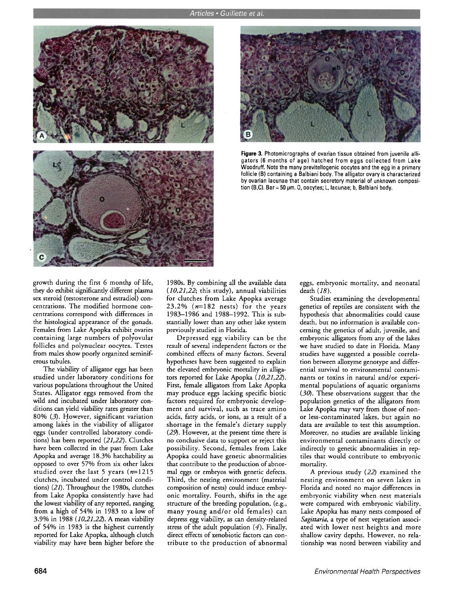



Figure 3. Photomicrographs of ovarian tissue obtained from juvenile alligators (6 months of age) hatched from eggs collected from Lake Woodruff. Note the many previtellogenic oocytes and the egg in a primary follicle (B) containing a Balbiani body. The alligator ovary is characterized by ovarian lacunae that contain secretary material of unknown composition (B,C). Bar = 50  $\mu$ m. O, oocytes; L, lacunae; b, Balbiani body.

growth during the first 6 months of life, they do exhibit significantly different plasma sex steroid (testosterone and estradiol) concentrations. The modified hormone concentrations correspond with differences in the histological appearance of the gonads. Females from Lake Apopka exhibit ovaries containing large numbers of polyovular follicles and polynuclear oocytes. Testes from males show poorly organized seminiferous tubules.

The viability of alligator eggs has been studied under laboratory conditions for various populations throughout the United States. Alligator eggs removed from the wild and incubated under laboratory conditions can yield viability rates greater than 80% (3). However, significant variation among lakes in the viability of alligator eggs (under controlled laboratory conditions) has been reported (21,22). Clutches have been collected in the past from Lake Apopka and average 18.3% hatchability as opposed to over 57% from six other lakes studied over the last 5 years  $(n=1215)$ clutches, incubated under control conditions) (21). Throughout the 1980s, clutches from Lake Apopka consistently have had the lowest viability of any reported, ranging from <sup>a</sup> high of 54% in 1983 to <sup>a</sup> low of 3.9% in <sup>1988</sup> (10,21,22). A mean viability of 54% in 1983 is the highest currently reported for Lake Apopka, although clutch viability may have been higher before the

1980s. By combining all the available data  $(10, 21, 22;$  this study), annual viabilities for clutches from Lake Apopka average 23.2%  $(n=182$  nests) for the years 1983-1986 and 1988-1992. This is substantially lower than any other lake system previously studied in Florida.

Depressed egg viability can be the result of several independent factors or the combined effects of many factors. Several hypotheses have been suggested to explain the elevated embryonic mortality in alligators reported for Lake Apopka (10,21,22). First, female alligators from Lake Apopka may produce eggs lacking specific biotic factors required for embryonic development and survival, such as trace amino acids, fatty acids, or ions, as a result of a shortage in the female's dietary supply (29). However, at the present time there is no conclusive data to support or reject this possibility. Second, females from Lake Apopka could have genetic abnormalities that contribute to the production of abnormal eggs or embryos with genetic defects. Third, the nesting environment (material composition of nests) could induce embryonic mortality. Fourth, shifts in the age structure of the breeding population, (e.g., many young and/or old females) can depress egg viability, as can density-related stress of the adult population  $(4)$ . Finally, direct effects of xenobiotic factors can contribute to the production of abnormal eggs, embryonic mortality, and neonatal death (18).

Studies examining the developmental genetics of reptiles are consistent with the hypothesis that abnormalities could cause death, but no information is available concerning the genetics of adult, juvenile, and embryonic alligators from any of the lakes we have studied to date in Florida. Many studies have suggested a possible correlation between allozyme genotype and differential survival to environmental contaminants or toxins in natural and/or experimental populations of aquatic organisms (30). These observations suggest that the population genetics of the alligators from Lake Apopka may vary from those of nonor less-contaminated lakes, but again no data are available to test this assumption. Moreover, no studies are available linking environmental contaminants directly or indirectly to genetic abnormalities in reptiles that would contribute to embryonic mortality.

A previous study (22) examined the nesting environment on seven lakes in Florida and noted no major differences in embryonic viability when nest materials were compared with embryonic viability. Lake Apopka has many nests composed of Sagittaria, a type of nest vegetation associated with lower nest heights and more shallow cavity depths. However, no relationship was noted between viability and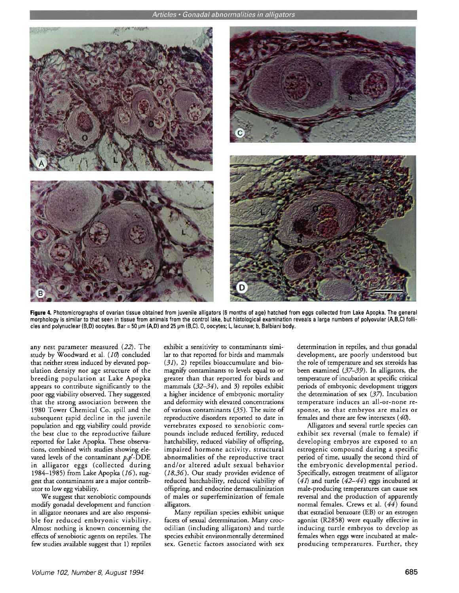

Figure 4. Photomicrographs of ovarian tissue obtained from juvenile alligators (6 months of age) hatched from eggs collected from Lake Apopka. The general morphology is similar to that seen in tissue from animals from the control lake, but histological examination reveals a large numbers of polyovular (A,B,C) follicles and polynuclear (B,D) oocytes. Bar = 50 pm (A,D) and 25 pm (B,C). 0, oocytes; L, lacunae; b, Balbiani body.

any nest parameter measured (22). The study by Woodward et al. (10) concluded that neither stress induced by elevated population density nor age structure of the breeding population at Lake Apopka appears to contribute significantly to the poor egg viability observed. They suggested that the strong association between the 1980 Tower Chemical Co. spill and the subsequent rapid decline in the juvenile population and egg viability could provide the best clue to the reproductive failure reported for Lake Apopka. These observations, combined with studies showing elevated levels of the contaminant  $p, p'$ -DDE in alligator eggs (collected during 1984-1985) from Lake Apopka (16), suggest that contaminants are a major contributor to low egg viability.

We suggest that xenobiotic compounds modify gonadal development and function in alligator neonates and are also responsible for reduced embryonic viability. Almost nothing is known concerning the effects of xenobiotic agents on reptiles. The few studies available suggest that 1) reptiles

exhibit a sensitivity to contaminants similar to that reported for birds and mammals (31), 2) reptiles bioaccumulate and biomagnify contaminants to levels equal to or greater than that reported for birds and mammals (32-34), and 3) reptiles exhibit a higher incidence of embryonic mortality and deformity with elevated concentrations of various contaminants (35). The suite of reproductive disorders reported to date in vertebrates exposed to xenobiotic compounds include reduced fertility, reduced hatchability, reduced viability of offspring, impaired hormone activity, structural abnormalities of the reproductive tract and/or altered adult sexual behavior (18,36). Our study provides evidence of reduced hatchability, reduced viability of offspring, and endocrine demasculinization of males or superfeminization of female alligators.

Many reptilian species exhibit unique facets of sexual determination. Many crocodilian (including alligators) and turtle species exhibit environmentally determined sex. Genetic factors associated with sex

determination in reptiles, and thus gonadal development, are poorly understood but the role of temperature and sex steroids has been examined (37-39). In alligators, the temperature of incubation at specific critical periods of embryonic development triggers the determination of sex  $(37)$ . Incubation temperature induces an all-or-none response, so that embryos are males or females and there are few intersexes (40).

Alligators and several turtle species can exhibit sex reversal (male to female) if developing embryos are exposed to an estrogenic compound during <sup>a</sup> specific period of time, usually the second third of the embryonic developmental period. Specifically, estrogen treatment of alligator  $(41)$  and turtle  $(42-44)$  eggs incubated at male-producing temperatures can cause sex reversal and the production of apparently normal females. Crews et al. (44) found that estradiol benzoate (EB) or an estrogen agonist (R2858) were equally effective in inducing turtle embryos to develop as females when eggs were incubated at maleproducing temperatures. Further, they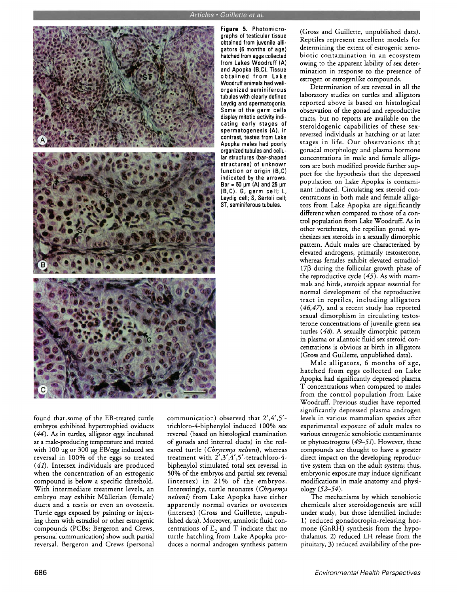

found that some of the EB-treated turtle embryos exhibited hypertrophied oviducts (44). As in turtles, alligator eggs incubated at a male-producing temperature and treated with 100 µg or 300 µg EB/egg induced sex reversal in 100% of the eggs so treated (41). Intersex individuals are produced when the concentration of an estrogenic compound is below a specific threshold. With intermediate treatment levels, an embryo may exhibit Mullerian (female) ducts and a testis or even an ovotestis. Turtle eggs exposed by painting or injecting them with estradiol or other estrogenic compounds (PCBs; Bergeron and Crews, personal communication) show such partial reversal. Bergeron and Crews (personal

communication) observed that <sup>2</sup>',4',5' trichloro-4-biphenylol induced 100% sex reversal (based on histological examination of gonads and internal ducts) in the redeared turtle (Chrysemys nelsoni), whereas treatment with 2',3',4',5'-tetrachloro-4 biphenylol stimulated total sex reversal in 50% of the embryos and partial sex reversal (intersex) in 21% of the embryos. Interestingly, turtle neonates (Chrysemys nelsoni) from Lake Apopka have either apparently normal ovaries or ovotestes (intersex) (Gross and Guillette, unpublished data). Moreover, amniotic fluid concentrations of  $E_2$  and T indicate that no turtle hatchling from Lake Apopka produces a normal androgen synthesis pattern

Figure 5. Photomicrographs of testicular tissue obtained from juvenile alligators (6 months of age) hatched from eggs collected from Lakes Woodruff (A) and Apopka (B,C). Tissue obtained from Lake Woodruff animals had wellorganized seminiferous tubules with clearly defined Leydig and spermatogonia. Some of the germ cells display mitotic activity indicating early stages of spermatogenesis (A). In contrast, testes from Lake Apopka males had poorly organized tubules and cellular structures (bar-shaped structures) of unknown function or origin (B,C) indicated by the arrows. Bar = 50  $\mu$ m (A) and 25  $\mu$ m (B,C). G, germ cell; L, Leydig cell; S, Sertoli cell;

(Gross and Guillette, unpublished data). Reptiles represent excellent models for determining the extent of estrogenic xenobiotic contamination in an ecosystem owing to the apparent lability of sex determination in response to the presence of estrogen or estrogenlike compounds.

Determination of sex reversal in all the laboratory studies on turtles and alligators reported above is based on histological observation of the gonad and reproductive tracts, but no reports are available on the steroidogenic capabilities of these sexreversed individuals at hatching or at later stages in life. Our observations that gonadal morphology and plasma hormone concentrations in male and female alligators are both modified provide further support for the hypothesis that the depressed population on Lake Apopka is contaminant induced. Circulating sex steroid concentrations in both male and female alligators from Lake Apopka are significantly different when compared to those of a control population from Lake Woodruff. As in other vertebrates, the reptilian gonad synthesizes sex steroids in a sexually dimorphic pattern. Adult males are characterized by elevated androgens, primarily testosterone, whereas females exhibit elevated estradiol- $17\beta$  during the follicular growth phase of the reproductive cycle (45). As with mammals and birds, steroids appear essential for normal development of the reproductive tract in reptiles, including alligators (46,47), and a recent study has reported sexual dimorphism in circulating testosterone concentrations of juvenile green sea turtles (48). A sexually dimorphic pattern in plasma or allantoic fluid sex steroid concentrations is obvious at birth in alligators (Gross and Guillette, unpublished data).

Male alligators, 6 months of age, hatched from eggs collected on Lake Apopka had significantly depressed plasma T concentrations when compared to males from the control population from Lake Woodruff. Previous studies have reported significantly depressed plasma androgen levels in various mammalian species after experimental exposure of adult males to various estrogenic xenobiotic contaminants or phytoestrogens (49-51). However, these compounds are thought to have a greater direct impact on the developing reproductive system than on the adult system; thus, embryonic exposure may induce significant modifications in male anatomy and physiology (52-54).

The mechanisms by which xenobiotic chemicals alter steroidogenesis are still under study, but those identified include: 1) reduced gonadotropin-releasing hormone (GnRH) synthesis from the hypothalamus, 2) reduced LH release from the pituitary, 3) reduced availability of the pre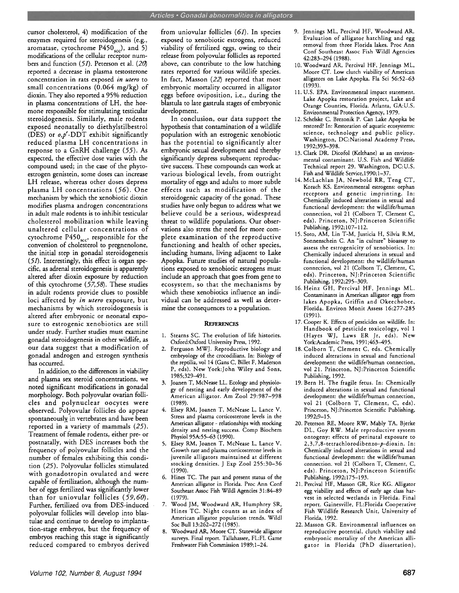cursor cholesterol, 4) modification of the enzymes required for steroidogenesis (e.g., aromatase, cytochrome  $P450<sub>sec</sub>$ , and 5) modifications of the cellular receptor numbers and function (51). Peterson et al. (20) reported a decrease in plasma testosterone concentration in rats exposed in utero to small concentrations (0.064 mg/kg) of dioxin. They also reported <sup>a</sup> 95% reduction in plasma concentrations of LH, the hormone responsible for stimulating testicular steroidogenesis. Similarly, male rodents exposed neonatally to diethylstilbestrol (DES) or  $o, p'$ -DDT exhibit significantly reduced plasma LH concentrations in response to <sup>a</sup> GnRH challenge (55). As expected, the effective dose varies with the compound used; in the case of the phytoestrogen genistein, some doses can increase LH release, whereas other doses depress plasma LH concentrations (56). One mechanism by which the xenobiotic dioxin modifies plasma androgen concentrations in adult male rodents is to inhibit testicular cholesterol mobilization while leaving unaltered cellular concentrations of cytochrome  $P450<sub>sec</sub>$ , responsible for the conversion of cholesterol to pregnenolone, the initial step in gonadal steroidogenesis (51). Interestingly, this effect is organ specific, as adrenal steroidogenesis is apparently altered after dioxin exposure by reduction of this cytochrome (57,58). These studies in adult rodents provide clues to possible loci affected by in utero exposure, but mechanisms by which steroidogenesis is altered after embryonic or neonatal exposure to estrogenic xenobiotics are still under study. Further studies must examine gonadal steroidogenesis in other wildlife, as our data suggest that a modification of gonadal androgen and estrogen synthesis has occurred.

In addition to the differences in viability and plasma sex steroid concentrations, we noted significant modifications in gonadal morphology. Both polyovular ovarian follicles and polynuclear oocytes were observed. Polyovular follicles do appear spontaneously in vertebrates and have been reported in a variety of mammals (25). Treatment of female rodents, either pre- or postnatally, with DES increases both the frequency of polyovular follicles and the number of females exhibiting this condition (25). Polyovular follicles stimulated with gonadotropin ovulated and were capable of fertilization, although the number of eggs fertilized was significantly lower than for uniovular follicles (59,60). Further, fertilized ova from DES-induced polyovular follicles will develop into blastulae and continue to develop to implantation-stage embryos, but the frequency of embryos reaching this stage is significantly reduced compared to embryos derived

from uniovular follicles (61). In species exposed to xenobiotic estrogens, reduced viability of fertilized eggs, owing to their release from polyovular follicles as reported above, can contribute to the low hatching rates reported for various wildlife species. In fact, Masson (22) reported that most embryonic mortality occurred in alligator eggs before oviposition, i.e., during the blastula to late gastrula stages of embryonic development.

In conclusion, our data support the hypothesis that contamination of a wildlife population with an estrogenic xenobiotic has the potential to significantly alter embryonic sexual development and thereby significantly depress subsequent reproductive success. These compounds can work at various biological levels, from outright mortality of eggs and adults to more subtle effects such as modification of the steroidogenic capacity of the gonad. These studies have only begun to address what we believe could be a serious, widespread threat to wildlife populations. Our observations also stress the need for more complete examination of the reproductive functioning and health of other species, including humans, living adjacent to Lake Apopka. Future studies of natural populations exposed to xenobiotic estrogens must include an approach that goes from gene to ecosystem, so that the mechanisms by which these xenobiotics influence an individual can be addressed as well as determine the consequences to a population.

#### **REFERENCES**

- 1. Stearns SC. The evolution of life histories. Oxford:Oxford University Press, 1992.
- 2. Ferguson MWJ. Reproductive biology and embryology of the crocodilians. In: Biology of the reptilia, vol 14 (Gans C, Billet F, Maderson P, eds). New York:John Wiley and Sons, 1985;329-491.
- 3. Joanen T, McNease LL. Ecology and physiology of nesting and early development of the American alligator. Am Zool 29:987-998 (1989).
- 4. Elsey RM, Joanen T, McNease L, Lance V. Stress and plasma corticosterone levels in the American alligator - relationships with stocking density and nesting success. Comp Biochem Physiol 95A:55-63 (1990).
- 5. Elsey RM, Joanen T, McNease L, Lance V. Growth rate and plasma corticosterone levels in juvenile alligators maintained at different stocking densities. <sup>J</sup> Exp Zool 255:30-36 (1990).
- 6. Hines TC. The past and present status of the American alligator in Florida. Proc Ann Conf Southeast Assoc Fish Wildl Agencies 31:84-89 (1979).
- 7. Wood JM, Woodward AR, Humphrey SR, Hines TC. Night counts as an index of American alligator population trends. Wildl Soc Bull 13:262-272 (1985).
- 8. Woodward AR, Moore CT. Statewide alligator surveys. Final report. Tallahassee, FL:FL Game Freshwater Fish Commission 1989;1-24.
- 9. Jennings ML, Percival HF, Woodward AR. Evaluation of alligator hatchling and egg removal from three Florida lakes. Proc Ann Conf Southeast Assoc Fish Wildl Agencies 42:283-294 (1988).
- 10. Woodward AR, Percival HF, Jennings ML, Moore CT. Low clutch viability of American alligators on Lake Apopka. Fla Sci 56:52-63 (1993).
- 11. U.S. EPA. Environmental impact statement. Lake Apopka restoration project, Lake and Orange Counties, Florida. Atlanta, GA:U.S. Environmental Protection Agency, 1979.
- 12. Schelske C, Brezonik P. Can Lake Apopka be restored? In: Restoration of aquatic ecosystems: science, technology and public policy. Washington, DC:National Academy Press, 1992;393-398.
- 13. Clark DR. Dicofol (Kelthane) as an environmental contaminant. U.S. Fish and Wildlife Technical report 29. Washington, DC:U.S. Fish and Wildlife Service,1990;1-37.
- 14. McLachlan JA, Newbold RR, Teng CT, Korach KS. Environmental estrogens: orphan receptors and genetic imprinting. In: Chemically induced alterations in sexual and functional development: the wildlife/human connection, vol 21 (Colborn T, Clement C, eds). Princeton, NJ:Princeton Scientific Publishing, 1992;107-112.
- 15. Soto, AM, Lin T-M, Justicia H, Silvia R.M, Sonnenschein C. An "in culture" bioassay to assess the estrogenicity of xenobiotics. In: Chemically induced alterations in sexual and functional development: the wildlife/human connection, vol 21 (Colborn T, Clement, C, eds). Princeton, NJ:Princeton Scientific Publishing, 1992;295-309.
- 16. Heinz GH, Percival HF, Jennings ML. Contaminants in American alligator eggs from lakes Apopka, Griffin and Okeechobee, Florida. Environ Monit Assess 16:277-285 (1991).
- 17. Cooper K. Effects of pesticides on wildlife. In: Handbook of pesticide toxicology, vol <sup>1</sup> (Hayes WJ, Laws ER Jr, eds). New York:Academic Press, 1991;463-495.
- 18. Colborn T, Clement C, eds. Chemically induced alterations in sexual and functional development: the wildlife/human connection, vol 21. Princeton, NJ:Princeton Scientific Publishing, 1992.
- 19. Bern H. The fragile fetus. In: Chemically induced alterations in sexual and functional development: the wildlife/human connection, vol 21 (Colborn T, Clement, C, eds). Princeton, NJ:Princeton Scientific Publishing, 1992;9-15.
- 20. Peterson RE, Moore RW, Mably TA, Bjerke DL, Goy RW. Male reproductive system ontogeny: effects of perinatal exposure to 2,3,7,8-tetrachlorodibenzo-p-dioxin. In: Chemically induced alterations in sexual and functional development: the wildlife/human connection. vol 21 (Colborn T, Clement, C, eds). Princeton, NJ:Princeton Scientific Publishing, 1992;175-193.
- 21. Percival HF, Masson GR, Rice KG. Alligator egg viability and effects of early age class harvest in selected wetlands in Florida. Final report. Gainesville, FL:Florida Cooperative Fish Wildlife Research Unit, University of Florida, 1992.
- 22. Masson GR. Environmental influences on reproductive potential, clutch viability and embryonic mortality of the American alligator in Florida (PhD dissertation),